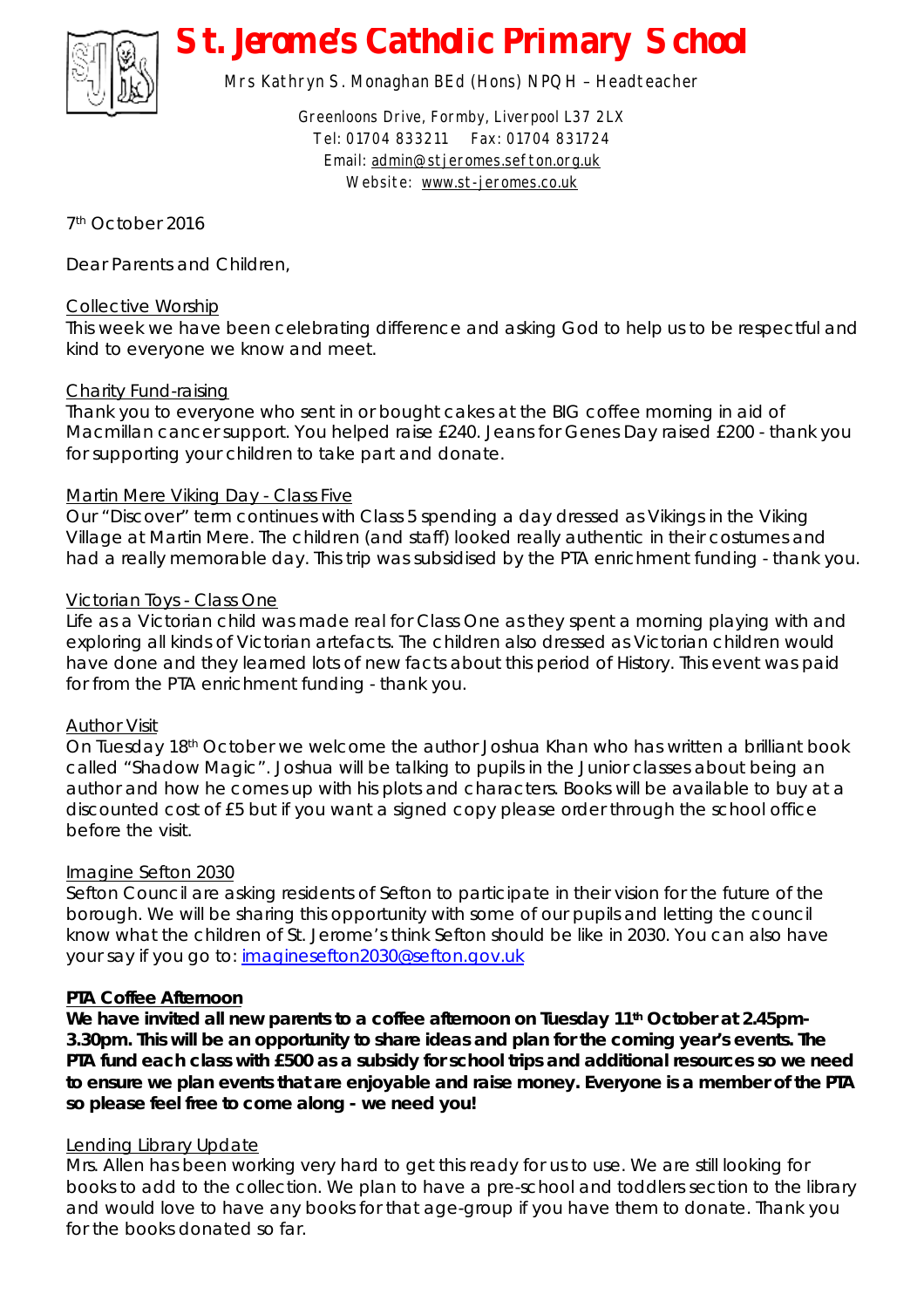

# *St. Jerome's Catholic Primary School*

Mrs Kathryn S. Monaghan BEd (Hons) NPQH – Headteacher

Greenloons Drive, Formby, Liverpool L37 2LX Tel: 01704 833211 Fax: 01704 831724 Email: [admin@stjeromes.sefton.org.uk](mailto:admin@stjeromes.sefton.org.uk) Website: [www.st-jeromes.co.uk](http://www.st-jeromes.co.uk)

7 th October 2016

Dear Parents and Children,

### Collective Worship

This week we have been celebrating difference and asking God to help us to be respectful and kind to everyone we know and meet.

## Charity Fund-raising

Thank you to everyone who sent in or bought cakes at the BIG coffee morning in aid of Macmillan cancer support. You helped raise £240. Jeans for Genes Day raised £200 - thank you for supporting your children to take part and donate.

## Martin Mere Viking Day - Class Five

Our "Discover" term continues with Class 5 spending a day dressed as Vikings in the Viking Village at Martin Mere. The children (and staff) looked really authentic in their costumes and had a really memorable day. This trip was subsidised by the PTA enrichment funding - thank you.

### Victorian Toys - Class One

Life as a Victorian child was made real for Class One as they spent a morning playing with and exploring all kinds of Victorian artefacts. The children also dressed as Victorian children would have done and they learned lots of new facts about this period of History. This event was paid for from the PTA enrichment funding - thank you.

### Author Visit

On Tuesday 18th October we welcome the author Joshua Khan who has written a brilliant book called "Shadow Magic". Joshua will be talking to pupils in the Junior classes about being an author and how he comes up with his plots and characters. Books will be available to buy at a discounted cost of £5 but if you want a signed copy please order through the school office before the visit.

### Imagine Sefton 2030

Sefton Council are asking residents of Sefton to participate in their vision for the future of the borough. We will be sharing this opportunity with some of our pupils and letting the council know what the children of St. Jerome's think Sefton should be like in 2030. You can also have your say if you go to: [imaginesefton2030@sefton.gov.uk](mailto:imaginesefton2030@sefton.gov.uk)

### **PTA Coffee Afternoon**

**We have invited all new parents to a coffee afternoon on Tuesday 11th October at 2.45pm-3.30pm. This will be an opportunity to share ideas and plan for the coming year's events. The PTA fund each class with £500 as a subsidy for school trips and additional resources so we need to ensure we plan events that are enjoyable and raise money. Everyone is a member of the PTA so please feel free to come along - we need you!** 

## Lending Library Update

Mrs. Allen has been working very hard to get this ready for us to use. We are still looking for books to add to the collection. We plan to have a pre-school and toddlers section to the library and would love to have any books for that age-group if you have them to donate. Thank you for the books donated so far.